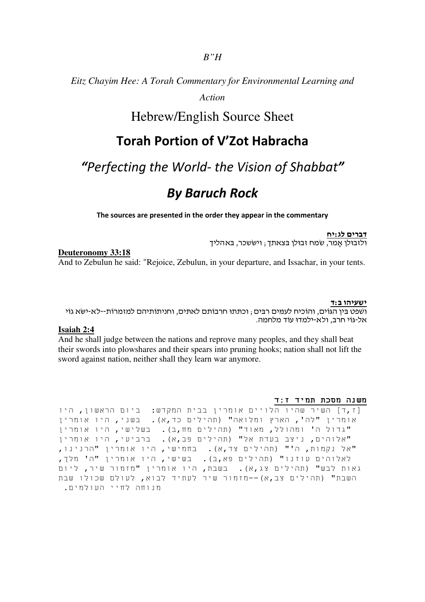*Eitz Chayim Hee: A Torah Commentary for Environmental Learning and* 

*Action*

## Hebrew/English Source Sheet

## Torah Portion of V'Zot Habracha

## "Perfecting the World- the Vision of Shabbat"

# By Baruch Rock

The sources are presented in the order they appear in the commentary

דברים לג:יח ולזבולן אָמר, שמח זבולן בצאתך; ויששכר. באהליד

### **Deuteronomy 33:18**

And to Zebulun he said: "Rejoice, Zebulun, in your departure, and Issachar, in your tents.

#### ישעיהו ב ד:

ושפט בין הגוים, והוכיח לעמים רבים ; וכתתו חרבותם לאתים, וחניתותיהם למזמרות--לא-ישא גוי אל-גוֹי חרב, ולא-ילמדוּ עוֹד מלחמה.

## **Isaiah 2:4**

And he shall judge between the nations and reprove many peoples, and they shall beat their swords into plowshares and their spears into pruning hooks; nation shall not lift the sword against nation, neither shall they learn war anymore.

#### משנה מסכת תמיד ז:ד

[ז,ד] השיר שהיו הלויים אומרין בבית המקדש: ביום הראשון, היו אומרין "לה', הארץ ומלואה" (תהילים כד,א). בשני, היו אומרין "גדול ה' ומהולל, מאוד" (תהילים מח,ב). בשלישי, היו אומרין "אלוהים, ניצב בעדת אל" (תהילים פב,א). ברביעי, היו אומרין "אל נקמות, ה'" (תהילים צד,א). בחמישי, היו אומרין "הרנינו, לאלוהים עוזנו" (תהילים פא,ב). בשישי, היו אומרין "ה' מלך, גאות לבש" (תהילים צג,א). בשבת, היו אומרין "מזמור שיר, ליום השבת" (תהילים צב,א)--מזמור שיר לעתיד לבוא, לעולם שכולו שבת מנוחה לחיי העולמים.